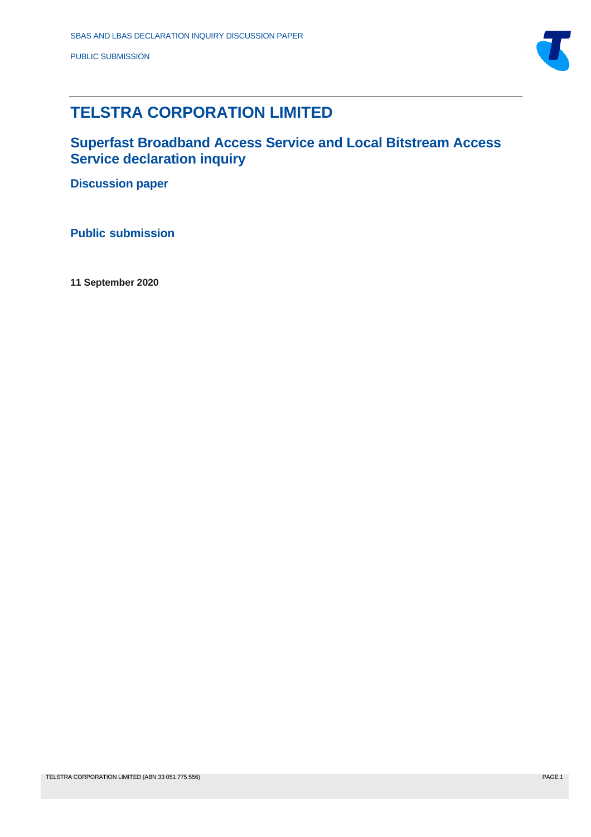

# **TELSTRA CORPORATION LIMITED**

**Superfast Broadband Access Service and Local Bitstream Access Service declaration inquiry** 

**Discussion paper**

**Public submission**

**11 September 2020**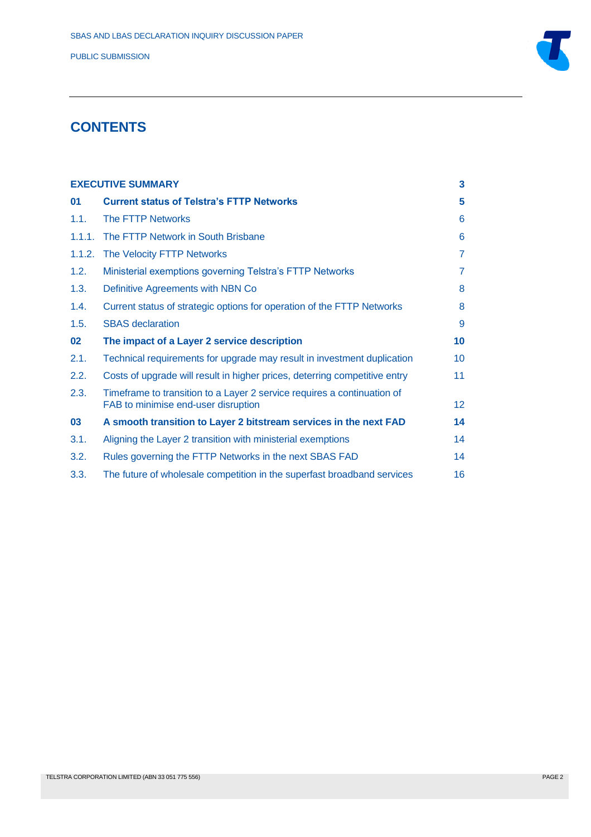

## **CONTENTS**

| <b>EXECUTIVE SUMMARY</b> |                                                                                                                | 3               |
|--------------------------|----------------------------------------------------------------------------------------------------------------|-----------------|
| 01                       | <b>Current status of Telstra's FTTP Networks</b>                                                               | 5               |
| 1.1.                     | The FTTP Networks                                                                                              | 6               |
| 1.1.1.                   | The FTTP Network in South Brisbane                                                                             | 6               |
| 1.1.2.                   | The Velocity FTTP Networks                                                                                     | $\overline{7}$  |
| 1.2.                     | Ministerial exemptions governing Telstra's FTTP Networks                                                       | 7               |
| 1.3.                     | Definitive Agreements with NBN Co                                                                              | 8               |
| 1.4.                     | Current status of strategic options for operation of the FTTP Networks                                         | 8               |
| 1.5.                     | <b>SBAS</b> declaration                                                                                        | 9               |
| 02                       | The impact of a Layer 2 service description                                                                    | 10              |
| 2.1.                     | Technical requirements for upgrade may result in investment duplication                                        | 10 <sup>°</sup> |
| 2.2.                     | Costs of upgrade will result in higher prices, deterring competitive entry                                     | 11              |
| 2.3.                     | Timeframe to transition to a Layer 2 service requires a continuation of<br>FAB to minimise end-user disruption | 12 <sub>2</sub> |
| 03                       | A smooth transition to Layer 2 bitstream services in the next FAD                                              | 14              |
| 3.1.                     | Aligning the Layer 2 transition with ministerial exemptions                                                    | 14              |
| 3.2.                     | Rules governing the FTTP Networks in the next SBAS FAD                                                         | 14              |
| 3.3.                     | The future of wholesale competition in the superfast broadband services                                        | 16              |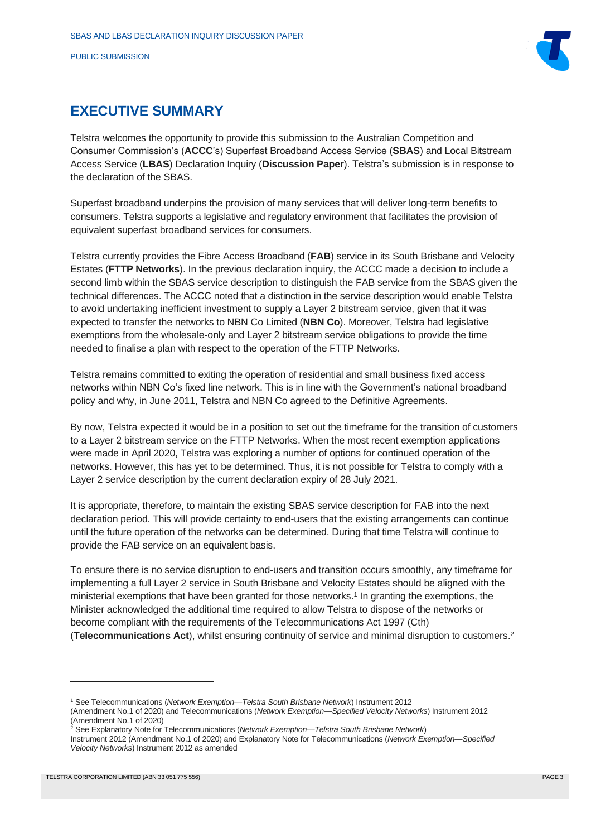

## <span id="page-2-0"></span>**EXECUTIVE SUMMARY**

Telstra welcomes the opportunity to provide this submission to the Australian Competition and Consumer Commission's (**ACCC**'s) Superfast Broadband Access Service (**SBAS**) and Local Bitstream Access Service (**LBAS**) Declaration Inquiry (**Discussion Paper**). Telstra's submission is in response to the declaration of the SBAS.

Superfast broadband underpins the provision of many services that will deliver long-term benefits to consumers. Telstra supports a legislative and regulatory environment that facilitates the provision of equivalent superfast broadband services for consumers.

Telstra currently provides the Fibre Access Broadband (**FAB**) service in its South Brisbane and Velocity Estates (**FTTP Networks**). In the previous declaration inquiry, the ACCC made a decision to include a second limb within the SBAS service description to distinguish the FAB service from the SBAS given the technical differences. The ACCC noted that a distinction in the service description would enable Telstra to avoid undertaking inefficient investment to supply a Layer 2 bitstream service, given that it was expected to transfer the networks to NBN Co Limited (**NBN Co**). Moreover, Telstra had legislative exemptions from the wholesale-only and Layer 2 bitstream service obligations to provide the time needed to finalise a plan with respect to the operation of the FTTP Networks.

Telstra remains committed to exiting the operation of residential and small business fixed access networks within NBN Co's fixed line network. This is in line with the Government's national broadband policy and why, in June 2011, Telstra and NBN Co agreed to the Definitive Agreements.

By now, Telstra expected it would be in a position to set out the timeframe for the transition of customers to a Layer 2 bitstream service on the FTTP Networks. When the most recent exemption applications were made in April 2020, Telstra was exploring a number of options for continued operation of the networks. However, this has yet to be determined. Thus, it is not possible for Telstra to comply with a Layer 2 service description by the current declaration expiry of 28 July 2021.

It is appropriate, therefore, to maintain the existing SBAS service description for FAB into the next declaration period. This will provide certainty to end-users that the existing arrangements can continue until the future operation of the networks can be determined. During that time Telstra will continue to provide the FAB service on an equivalent basis.

To ensure there is no service disruption to end-users and transition occurs smoothly, any timeframe for implementing a full Layer 2 service in South Brisbane and Velocity Estates should be aligned with the ministerial exemptions that have been granted for those networks. 1 In granting the exemptions, the Minister acknowledged the additional time required to allow Telstra to dispose of the networks or become compliant with the requirements of the Telecommunications Act 1997 (Cth) (**Telecommunications Act**), whilst ensuring continuity of service and minimal disruption to customers. 2

<sup>1</sup> See Telecommunications (*Network Exemption—Telstra South Brisbane Network*) Instrument 2012

<sup>(</sup>Amendment No.1 of 2020) and Telecommunications (*Network Exemption—Specified Velocity Networks*) Instrument 2012 (Amendment No.1 of 2020)

<sup>2</sup> See Explanatory Note for Telecommunications (*Network Exemption—Telstra South Brisbane Network*)

Instrument 2012 (Amendment No.1 of 2020) and Explanatory Note for Telecommunications (*Network Exemption—Specified Velocity Networks*) Instrument 2012 as amended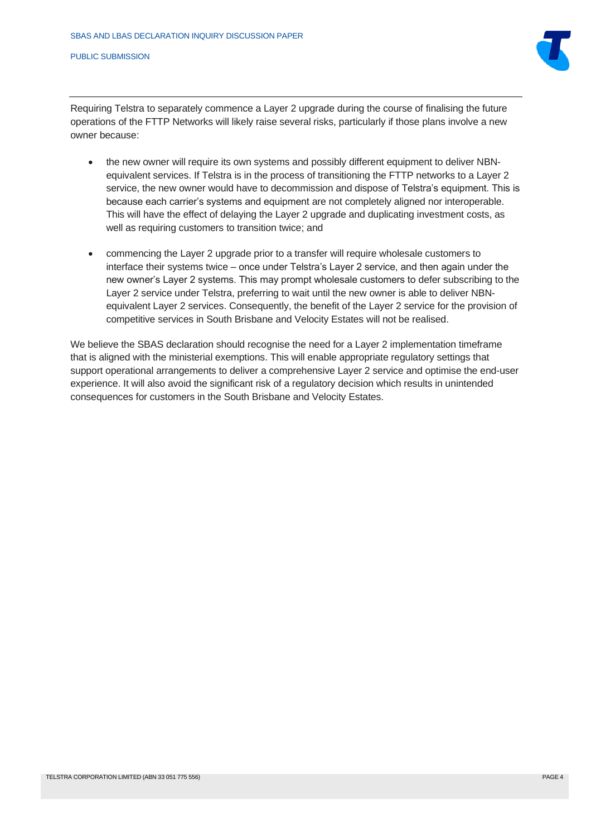

Requiring Telstra to separately commence a Layer 2 upgrade during the course of finalising the future operations of the FTTP Networks will likely raise several risks, particularly if those plans involve a new owner because:

- the new owner will require its own systems and possibly different equipment to deliver NBNequivalent services. If Telstra is in the process of transitioning the FTTP networks to a Layer 2 service, the new owner would have to decommission and dispose of Telstra's equipment. This is because each carrier's systems and equipment are not completely aligned nor interoperable. This will have the effect of delaying the Layer 2 upgrade and duplicating investment costs, as well as requiring customers to transition twice; and
- commencing the Layer 2 upgrade prior to a transfer will require wholesale customers to interface their systems twice – once under Telstra's Layer 2 service, and then again under the new owner's Layer 2 systems. This may prompt wholesale customers to defer subscribing to the Layer 2 service under Telstra, preferring to wait until the new owner is able to deliver NBNequivalent Layer 2 services. Consequently, the benefit of the Layer 2 service for the provision of competitive services in South Brisbane and Velocity Estates will not be realised.

We believe the SBAS declaration should recognise the need for a Layer 2 implementation timeframe that is aligned with the ministerial exemptions. This will enable appropriate regulatory settings that support operational arrangements to deliver a comprehensive Layer 2 service and optimise the end-user experience. It will also avoid the significant risk of a regulatory decision which results in unintended consequences for customers in the South Brisbane and Velocity Estates.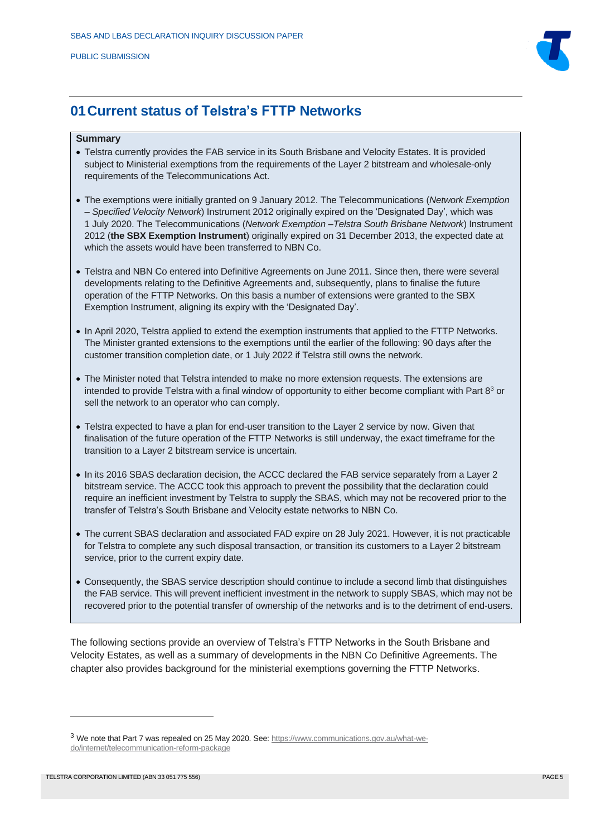

### <span id="page-4-0"></span>**01Current status of Telstra's FTTP Networks**

#### **Summary**

- Telstra currently provides the FAB service in its South Brisbane and Velocity Estates. It is provided subject to Ministerial exemptions from the requirements of the Layer 2 bitstream and wholesale-only requirements of the Telecommunications Act.
- The exemptions were initially granted on 9 January 2012. The Telecommunications (*Network Exemption – Specified Velocity Network*) Instrument 2012 originally expired on the 'Designated Day', which was 1 July 2020. The Telecommunications (*Network Exemption –Telstra South Brisbane Network*) Instrument 2012 (**the SBX Exemption Instrument**) originally expired on 31 December 2013, the expected date at which the assets would have been transferred to NBN Co.
- Telstra and NBN Co entered into Definitive Agreements on June 2011. Since then, there were several developments relating to the Definitive Agreements and, subsequently, plans to finalise the future operation of the FTTP Networks. On this basis a number of extensions were granted to the SBX Exemption Instrument, aligning its expiry with the 'Designated Day'.
- In April 2020, Telstra applied to extend the exemption instruments that applied to the FTTP Networks. The Minister granted extensions to the exemptions until the earlier of the following: 90 days after the customer transition completion date, or 1 July 2022 if Telstra still owns the network.
- The Minister noted that Telstra intended to make no more extension requests. The extensions are intended to provide Telstra with a final window of opportunity to either become compliant with Part  $8<sup>3</sup>$  or sell the network to an operator who can comply.
- Telstra expected to have a plan for end-user transition to the Layer 2 service by now. Given that finalisation of the future operation of the FTTP Networks is still underway, the exact timeframe for the transition to a Layer 2 bitstream service is uncertain.
- In its 2016 SBAS declaration decision, the ACCC declared the FAB service separately from a Layer 2 bitstream service. The ACCC took this approach to prevent the possibility that the declaration could require an inefficient investment by Telstra to supply the SBAS, which may not be recovered prior to the transfer of Telstra's South Brisbane and Velocity estate networks to NBN Co.
- The current SBAS declaration and associated FAD expire on 28 July 2021. However, it is not practicable for Telstra to complete any such disposal transaction, or transition its customers to a Layer 2 bitstream service, prior to the current expiry date.
- Consequently, the SBAS service description should continue to include a second limb that distinguishes the FAB service. This will prevent inefficient investment in the network to supply SBAS, which may not be recovered prior to the potential transfer of ownership of the networks and is to the detriment of end-users.

The following sections provide an overview of Telstra's FTTP Networks in the South Brisbane and Velocity Estates, as well as a summary of developments in the NBN Co Definitive Agreements. The chapter also provides background for the ministerial exemptions governing the FTTP Networks.

<sup>&</sup>lt;sup>3</sup> We note that Part 7 was repealed on 25 May 2020. See[: https://www.communications.gov.au/what-we](https://www.communications.gov.au/what-we-do/internet/telecommunication-reform-package)[do/internet/telecommunication-reform-package](https://www.communications.gov.au/what-we-do/internet/telecommunication-reform-package)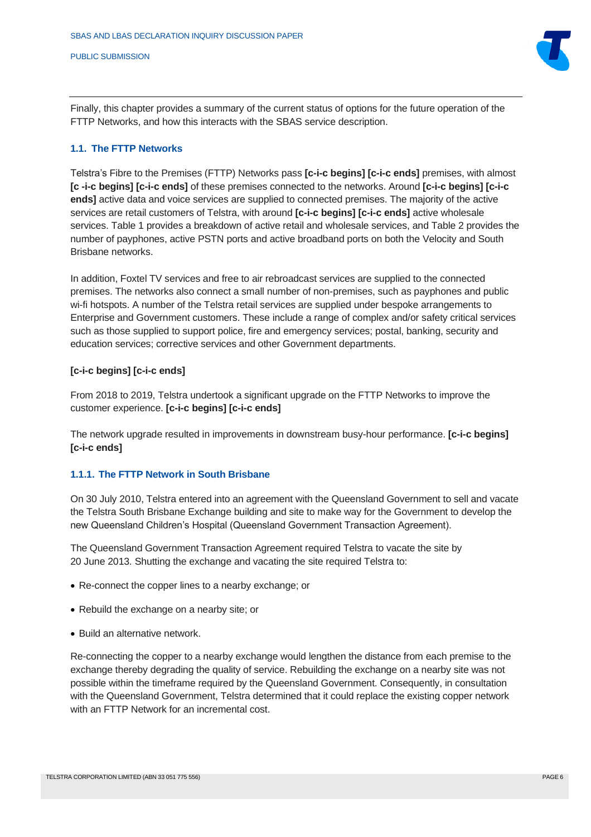Finally, this chapter provides a summary of the current status of options for the future operation of the FTTP Networks, and how this interacts with the SBAS service description.

#### <span id="page-5-0"></span>**1.1. The FTTP Networks**

Telstra's Fibre to the Premises (FTTP) Networks pass **[c-i-c begins] [c-i-c ends]** premises, with almost **[c -i-c begins] [c-i-c ends]** of these premises connected to the networks. Around **[c-i-c begins] [c-i-c ends]** active data and voice services are supplied to connected premises. The majority of the active services are retail customers of Telstra, with around **[c-i-c begins] [c-i-c ends]** active wholesale services. Table 1 provides a breakdown of active retail and wholesale services, and Table 2 provides the number of payphones, active PSTN ports and active broadband ports on both the Velocity and South Brisbane networks.

In addition, Foxtel TV services and free to air rebroadcast services are supplied to the connected premises. The networks also connect a small number of non-premises, such as payphones and public wi-fi hotspots. A number of the Telstra retail services are supplied under bespoke arrangements to Enterprise and Government customers. These include a range of complex and/or safety critical services such as those supplied to support police, fire and emergency services; postal, banking, security and education services; corrective services and other Government departments.

#### **[c-i-c begins] [c-i-c ends]**

From 2018 to 2019, Telstra undertook a significant upgrade on the FTTP Networks to improve the customer experience. **[c-i-c begins] [c-i-c ends]**

The network upgrade resulted in improvements in downstream busy-hour performance. **[c-i-c begins] [c-i-c ends]**

#### <span id="page-5-1"></span>**1.1.1. The FTTP Network in South Brisbane**

On 30 July 2010, Telstra entered into an agreement with the Queensland Government to sell and vacate the Telstra South Brisbane Exchange building and site to make way for the Government to develop the new Queensland Children's Hospital (Queensland Government Transaction Agreement).

The Queensland Government Transaction Agreement required Telstra to vacate the site by 20 June 2013. Shutting the exchange and vacating the site required Telstra to:

- Re-connect the copper lines to a nearby exchange; or
- Rebuild the exchange on a nearby site; or
- Build an alternative network.

Re-connecting the copper to a nearby exchange would lengthen the distance from each premise to the exchange thereby degrading the quality of service. Rebuilding the exchange on a nearby site was not possible within the timeframe required by the Queensland Government. Consequently, in consultation with the Queensland Government, Telstra determined that it could replace the existing copper network with an FTTP Network for an incremental cost.

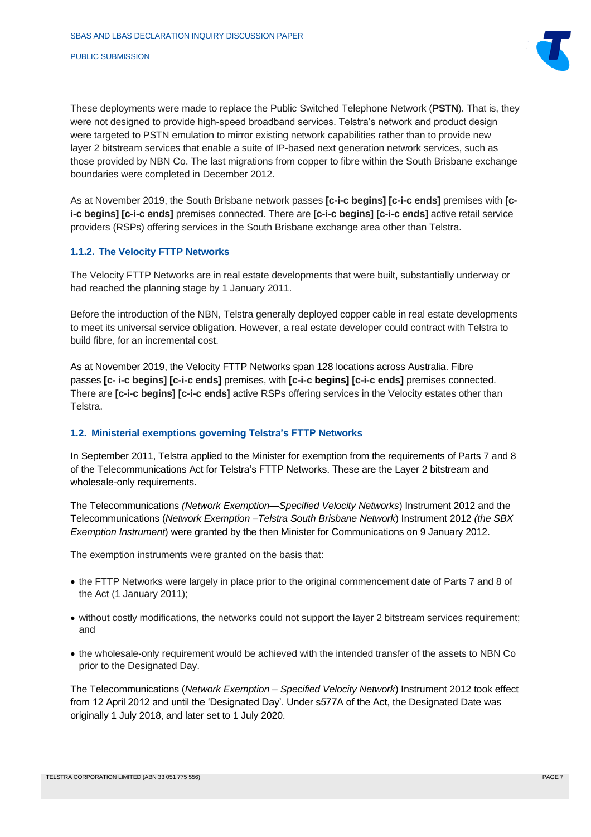

These deployments were made to replace the Public Switched Telephone Network (**PSTN**). That is, they were not designed to provide high-speed broadband services. Telstra's network and product design were targeted to PSTN emulation to mirror existing network capabilities rather than to provide new layer 2 bitstream services that enable a suite of IP-based next generation network services, such as those provided by NBN Co. The last migrations from copper to fibre within the South Brisbane exchange boundaries were completed in December 2012.

As at November 2019, the South Brisbane network passes **[c-i-c begins] [c-i-c ends]** premises with **[ci-c begins] [c-i-c ends]** premises connected. There are **[c-i-c begins] [c-i-c ends]** active retail service providers (RSPs) offering services in the South Brisbane exchange area other than Telstra.

### <span id="page-6-0"></span>**1.1.2. The Velocity FTTP Networks**

The Velocity FTTP Networks are in real estate developments that were built, substantially underway or had reached the planning stage by 1 January 2011.

Before the introduction of the NBN, Telstra generally deployed copper cable in real estate developments to meet its universal service obligation. However, a real estate developer could contract with Telstra to build fibre, for an incremental cost.

As at November 2019, the Velocity FTTP Networks span 128 locations across Australia. Fibre passes **[c- i-c begins] [c-i-c ends]** premises, with **[c-i-c begins] [c-i-c ends]** premises connected. There are **[c-i-c begins] [c-i-c ends]** active RSPs offering services in the Velocity estates other than Telstra.

#### <span id="page-6-1"></span>**1.2. Ministerial exemptions governing Telstra's FTTP Networks**

In September 2011, Telstra applied to the Minister for exemption from the requirements of Parts 7 and 8 of the Telecommunications Act for Telstra's FTTP Networks. These are the Layer 2 bitstream and wholesale-only requirements.

The Telecommunications *(Network Exemption—Specified Velocity Networks*) Instrument 2012 and the Telecommunications (*Network Exemption –Telstra South Brisbane Network*) Instrument 2012 *(the SBX Exemption Instrument*) were granted by the then Minister for Communications on 9 January 2012.

The exemption instruments were granted on the basis that:

- the FTTP Networks were largely in place prior to the original commencement date of Parts 7 and 8 of the Act (1 January 2011);
- without costly modifications, the networks could not support the layer 2 bitstream services requirement; and
- the wholesale-only requirement would be achieved with the intended transfer of the assets to NBN Co prior to the Designated Day.

The Telecommunications (*Network Exemption – Specified Velocity Network*) Instrument 2012 took effect from 12 April 2012 and until the 'Designated Day'. Under s577A of the Act, the Designated Date was originally 1 July 2018, and later set to 1 July 2020.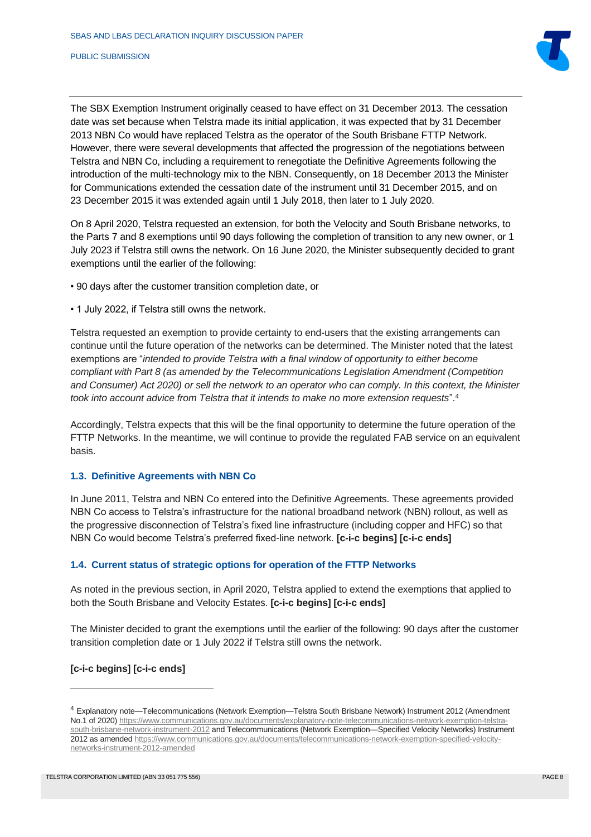

The SBX Exemption Instrument originally ceased to have effect on 31 December 2013. The cessation date was set because when Telstra made its initial application, it was expected that by 31 December 2013 NBN Co would have replaced Telstra as the operator of the South Brisbane FTTP Network. However, there were several developments that affected the progression of the negotiations between Telstra and NBN Co, including a requirement to renegotiate the Definitive Agreements following the introduction of the multi-technology mix to the NBN. Consequently, on 18 December 2013 the Minister for Communications extended the cessation date of the instrument until 31 December 2015, and on 23 December 2015 it was extended again until 1 July 2018, then later to 1 July 2020.

On 8 April 2020, Telstra requested an extension, for both the Velocity and South Brisbane networks, to the Parts 7 and 8 exemptions until 90 days following the completion of transition to any new owner, or 1 July 2023 if Telstra still owns the network. On 16 June 2020, the Minister subsequently decided to grant exemptions until the earlier of the following:

- 90 days after the customer transition completion date, or
- 1 July 2022, if Telstra still owns the network.

Telstra requested an exemption to provide certainty to end-users that the existing arrangements can continue until the future operation of the networks can be determined. The Minister noted that the latest exemptions are "*intended to provide Telstra with a final window of opportunity to either become compliant with Part 8 (as amended by the Telecommunications Legislation Amendment (Competition and Consumer) Act 2020) or sell the network to an operator who can comply. In this context, the Minister took into account advice from Telstra that it intends to make no more extension requests*".<sup>4</sup>

Accordingly, Telstra expects that this will be the final opportunity to determine the future operation of the FTTP Networks. In the meantime, we will continue to provide the regulated FAB service on an equivalent basis.

#### <span id="page-7-0"></span>**1.3. Definitive Agreements with NBN Co**

In June 2011, Telstra and NBN Co entered into the Definitive Agreements. These agreements provided NBN Co access to Telstra's infrastructure for the national broadband network (NBN) rollout, as well as the progressive disconnection of Telstra's fixed line infrastructure (including copper and HFC) so that NBN Co would become Telstra's preferred fixed-line network. **[c-i-c begins] [c-i-c ends]**

#### <span id="page-7-1"></span>**1.4. Current status of strategic options for operation of the FTTP Networks**

As noted in the previous section, in April 2020, Telstra applied to extend the exemptions that applied to both the South Brisbane and Velocity Estates. **[c-i-c begins] [c-i-c ends]**

The Minister decided to grant the exemptions until the earlier of the following: 90 days after the customer transition completion date or 1 July 2022 if Telstra still owns the network.

#### **[c-i-c begins] [c-i-c ends]**

<sup>4</sup> Explanatory note—Telecommunications (Network Exemption—Telstra South Brisbane Network) Instrument 2012 (Amendment No.1 of 2020[\) https://www.communications.gov.au/documents/explanatory-note-telecommunications-network-exemption-telstra](https://www.communications.gov.au/documents/explanatory-note-telecommunications-network-exemption-telstra-south-brisbane-network-instrument-2012)[south-brisbane-network-instrument-2012](https://www.communications.gov.au/documents/explanatory-note-telecommunications-network-exemption-telstra-south-brisbane-network-instrument-2012) and Telecommunications (Network Exemption—Specified Velocity Networks) Instrument 2012 as amende[d https://www.communications.gov.au/documents/telecommunications-network-exemption-specified-velocity](https://www.communications.gov.au/documents/telecommunications-network-exemption-specified-velocity-networks-instrument-2012-amended)[networks-instrument-2012-amended](https://www.communications.gov.au/documents/telecommunications-network-exemption-specified-velocity-networks-instrument-2012-amended)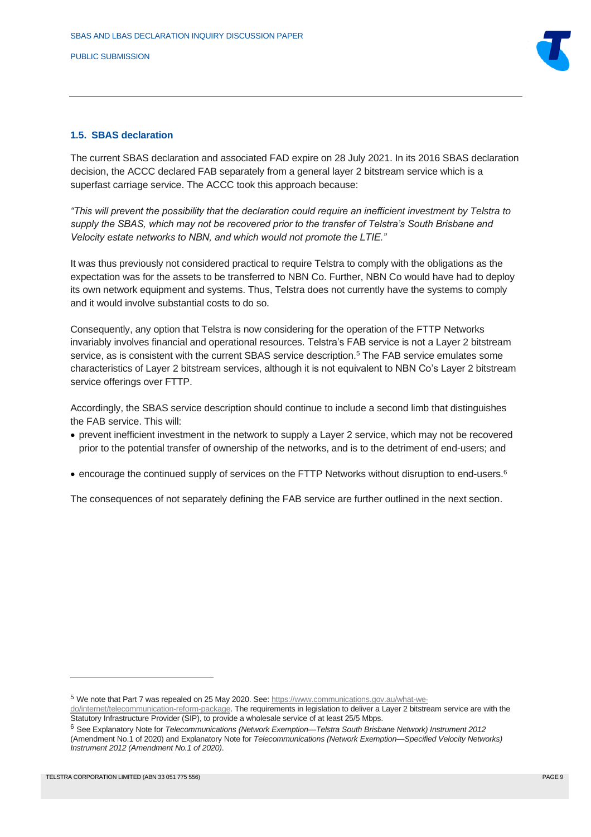

#### <span id="page-8-0"></span>**1.5. SBAS declaration**

The current SBAS declaration and associated FAD expire on 28 July 2021. In its 2016 SBAS declaration decision, the ACCC declared FAB separately from a general layer 2 bitstream service which is a superfast carriage service. The ACCC took this approach because:

*"This will prevent the possibility that the declaration could require an inefficient investment by Telstra to supply the SBAS, which may not be recovered prior to the transfer of Telstra's South Brisbane and Velocity estate networks to NBN, and which would not promote the LTIE."*

It was thus previously not considered practical to require Telstra to comply with the obligations as the expectation was for the assets to be transferred to NBN Co. Further, NBN Co would have had to deploy its own network equipment and systems. Thus, Telstra does not currently have the systems to comply and it would involve substantial costs to do so.

Consequently, any option that Telstra is now considering for the operation of the FTTP Networks invariably involves financial and operational resources. Telstra's FAB service is not a Layer 2 bitstream service, as is consistent with the current SBAS service description. <sup>5</sup> The FAB service emulates some characteristics of Layer 2 bitstream services, although it is not equivalent to NBN Co's Layer 2 bitstream service offerings over FTTP.

Accordingly, the SBAS service description should continue to include a second limb that distinguishes the FAB service. This will:

- prevent inefficient investment in the network to supply a Layer 2 service, which may not be recovered prior to the potential transfer of ownership of the networks, and is to the detriment of end-users; and
- encourage the continued supply of services on the FTTP Networks without disruption to end-users. 6

The consequences of not separately defining the FAB service are further outlined in the next section.

<sup>5</sup> We note that Part 7 was repealed on 25 May 2020. See[: https://www.communications.gov.au/what-we-](https://www.communications.gov.au/what-we-do/internet/telecommunication-reform-package)

[do/internet/telecommunication-reform-package.](https://www.communications.gov.au/what-we-do/internet/telecommunication-reform-package) The requirements in legislation to deliver a Layer 2 bitstream service are with the Statutory Infrastructure Provider (SIP), to provide a wholesale service of at least 25/5 Mbps.

<sup>6</sup> See Explanatory Note for *Telecommunications (Network Exemption—Telstra South Brisbane Network) Instrument 2012* (Amendment No.1 of 2020) and Explanatory Note for *Telecommunications (Network Exemption—Specified Velocity Networks) Instrument 2012 (Amendment No.1 of 2020)*.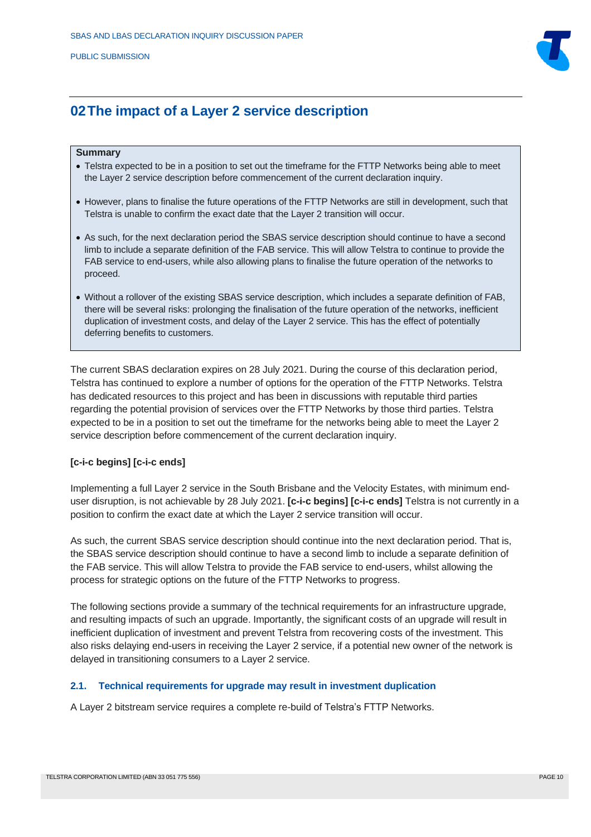

## <span id="page-9-0"></span>**02The impact of a Layer 2 service description**

#### **Summary**

- Telstra expected to be in a position to set out the timeframe for the FTTP Networks being able to meet the Layer 2 service description before commencement of the current declaration inquiry.
- However, plans to finalise the future operations of the FTTP Networks are still in development, such that Telstra is unable to confirm the exact date that the Layer 2 transition will occur.
- As such, for the next declaration period the SBAS service description should continue to have a second limb to include a separate definition of the FAB service. This will allow Telstra to continue to provide the FAB service to end-users, while also allowing plans to finalise the future operation of the networks to proceed.
- Without a rollover of the existing SBAS service description, which includes a separate definition of FAB, there will be several risks: prolonging the finalisation of the future operation of the networks, inefficient duplication of investment costs, and delay of the Layer 2 service. This has the effect of potentially deferring benefits to customers.

The current SBAS declaration expires on 28 July 2021. During the course of this declaration period, Telstra has continued to explore a number of options for the operation of the FTTP Networks. Telstra has dedicated resources to this project and has been in discussions with reputable third parties regarding the potential provision of services over the FTTP Networks by those third parties. Telstra expected to be in a position to set out the timeframe for the networks being able to meet the Layer 2 service description before commencement of the current declaration inquiry.

#### **[c-i-c begins] [c-i-c ends]**

Implementing a full Layer 2 service in the South Brisbane and the Velocity Estates, with minimum enduser disruption, is not achievable by 28 July 2021. **[c-i-c begins] [c-i-c ends]** Telstra is not currently in a position to confirm the exact date at which the Layer 2 service transition will occur.

As such, the current SBAS service description should continue into the next declaration period. That is, the SBAS service description should continue to have a second limb to include a separate definition of the FAB service. This will allow Telstra to provide the FAB service to end-users, whilst allowing the process for strategic options on the future of the FTTP Networks to progress.

The following sections provide a summary of the technical requirements for an infrastructure upgrade, and resulting impacts of such an upgrade. Importantly, the significant costs of an upgrade will result in inefficient duplication of investment and prevent Telstra from recovering costs of the investment. This also risks delaying end-users in receiving the Layer 2 service, if a potential new owner of the network is delayed in transitioning consumers to a Layer 2 service.

#### <span id="page-9-1"></span>**2.1. Technical requirements for upgrade may result in investment duplication**

A Layer 2 bitstream service requires a complete re-build of Telstra's FTTP Networks.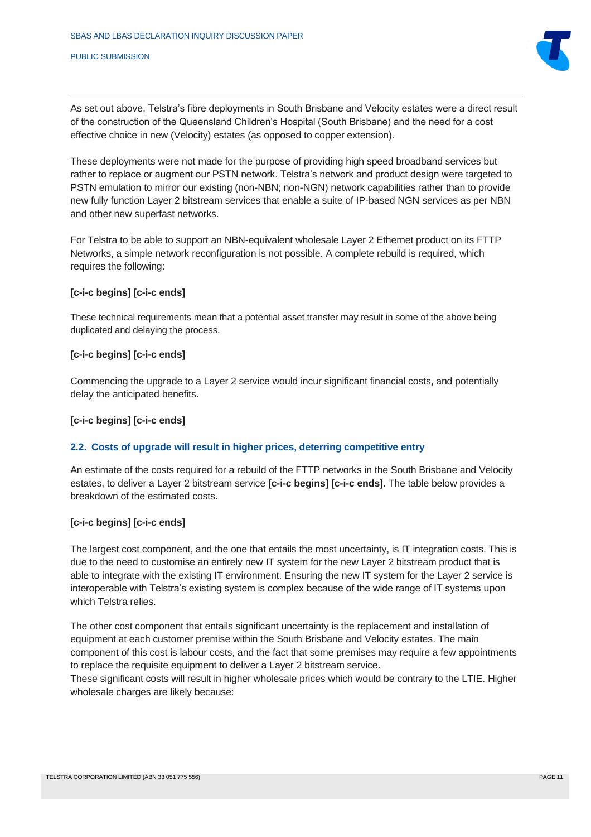

As set out above, Telstra's fibre deployments in South Brisbane and Velocity estates were a direct result of the construction of the Queensland Children's Hospital (South Brisbane) and the need for a cost effective choice in new (Velocity) estates (as opposed to copper extension).

These deployments were not made for the purpose of providing high speed broadband services but rather to replace or augment our PSTN network. Telstra's network and product design were targeted to PSTN emulation to mirror our existing (non-NBN; non-NGN) network capabilities rather than to provide new fully function Layer 2 bitstream services that enable a suite of IP-based NGN services as per NBN and other new superfast networks.

For Telstra to be able to support an NBN-equivalent wholesale Layer 2 Ethernet product on its FTTP Networks, a simple network reconfiguration is not possible. A complete rebuild is required, which requires the following:

#### **[c-i-c begins] [c-i-c ends]**

These technical requirements mean that a potential asset transfer may result in some of the above being duplicated and delaying the process.

#### **[c-i-c begins] [c-i-c ends]**

Commencing the upgrade to a Layer 2 service would incur significant financial costs, and potentially delay the anticipated benefits.

### **[c-i-c begins] [c-i-c ends]**

#### <span id="page-10-0"></span>**2.2. Costs of upgrade will result in higher prices, deterring competitive entry**

An estimate of the costs required for a rebuild of the FTTP networks in the South Brisbane and Velocity estates, to deliver a Layer 2 bitstream service **[c-i-c begins] [c-i-c ends].** The table below provides a breakdown of the estimated costs.

#### **[c-i-c begins] [c-i-c ends]**

The largest cost component, and the one that entails the most uncertainty, is IT integration costs. This is due to the need to customise an entirely new IT system for the new Layer 2 bitstream product that is able to integrate with the existing IT environment. Ensuring the new IT system for the Layer 2 service is interoperable with Telstra's existing system is complex because of the wide range of IT systems upon which Telstra relies.

The other cost component that entails significant uncertainty is the replacement and installation of equipment at each customer premise within the South Brisbane and Velocity estates. The main component of this cost is labour costs, and the fact that some premises may require a few appointments to replace the requisite equipment to deliver a Layer 2 bitstream service.

These significant costs will result in higher wholesale prices which would be contrary to the LTIE. Higher wholesale charges are likely because: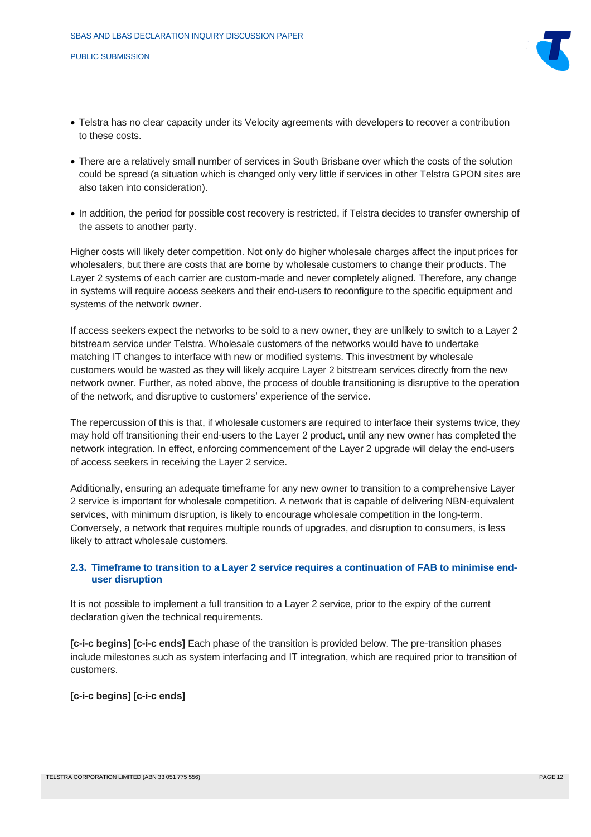

- Telstra has no clear capacity under its Velocity agreements with developers to recover a contribution to these costs.
- There are a relatively small number of services in South Brisbane over which the costs of the solution could be spread (a situation which is changed only very little if services in other Telstra GPON sites are also taken into consideration).
- In addition, the period for possible cost recovery is restricted, if Telstra decides to transfer ownership of the assets to another party.

Higher costs will likely deter competition. Not only do higher wholesale charges affect the input prices for wholesalers, but there are costs that are borne by wholesale customers to change their products. The Layer 2 systems of each carrier are custom-made and never completely aligned. Therefore, any change in systems will require access seekers and their end-users to reconfigure to the specific equipment and systems of the network owner.

If access seekers expect the networks to be sold to a new owner, they are unlikely to switch to a Layer 2 bitstream service under Telstra. Wholesale customers of the networks would have to undertake matching IT changes to interface with new or modified systems. This investment by wholesale customers would be wasted as they will likely acquire Layer 2 bitstream services directly from the new network owner. Further, as noted above, the process of double transitioning is disruptive to the operation of the network, and disruptive to customers' experience of the service.

The repercussion of this is that, if wholesale customers are required to interface their systems twice, they may hold off transitioning their end-users to the Layer 2 product, until any new owner has completed the network integration. In effect, enforcing commencement of the Layer 2 upgrade will delay the end-users of access seekers in receiving the Layer 2 service.

Additionally, ensuring an adequate timeframe for any new owner to transition to a comprehensive Layer 2 service is important for wholesale competition. A network that is capable of delivering NBN-equivalent services, with minimum disruption, is likely to encourage wholesale competition in the long-term. Conversely, a network that requires multiple rounds of upgrades, and disruption to consumers, is less likely to attract wholesale customers.

### <span id="page-11-0"></span>**2.3. Timeframe to transition to a Layer 2 service requires a continuation of FAB to minimise enduser disruption**

It is not possible to implement a full transition to a Layer 2 service, prior to the expiry of the current declaration given the technical requirements.

**[c-i-c begins] [c-i-c ends]** Each phase of the transition is provided below. The pre-transition phases include milestones such as system interfacing and IT integration, which are required prior to transition of customers.

**[c-i-c begins] [c-i-c ends]**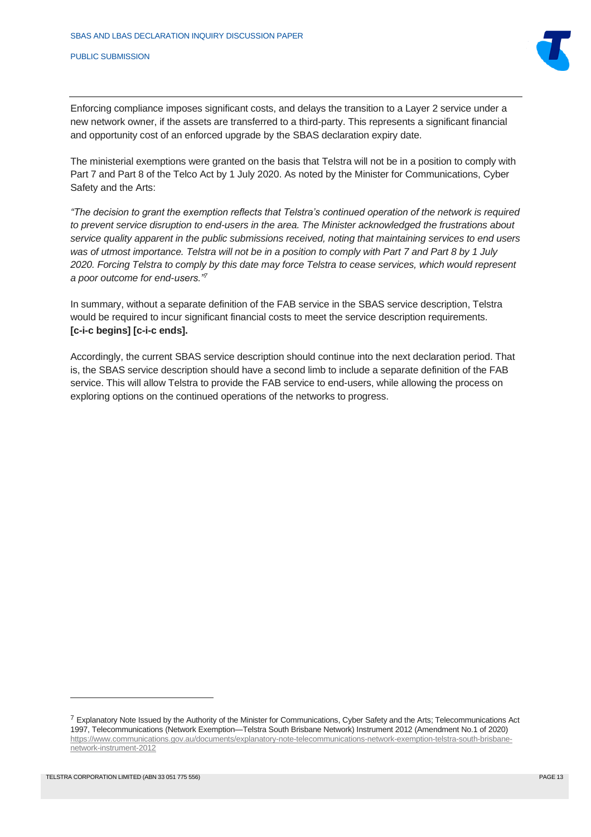

Enforcing compliance imposes significant costs, and delays the transition to a Layer 2 service under a new network owner, if the assets are transferred to a third-party. This represents a significant financial and opportunity cost of an enforced upgrade by the SBAS declaration expiry date.

The ministerial exemptions were granted on the basis that Telstra will not be in a position to comply with Part 7 and Part 8 of the Telco Act by 1 July 2020. As noted by the Minister for Communications, Cyber Safety and the Arts:

*"The decision to grant the exemption reflects that Telstra's continued operation of the network is required to prevent service disruption to end-users in the area. The Minister acknowledged the frustrations about service quality apparent in the public submissions received, noting that maintaining services to end users was of utmost importance. Telstra will not be in a position to comply with Part 7 and Part 8 by 1 July 2020. Forcing Telstra to comply by this date may force Telstra to cease services, which would represent a poor outcome for end-users."<sup>7</sup>*

In summary, without a separate definition of the FAB service in the SBAS service description, Telstra would be required to incur significant financial costs to meet the service description requirements. **[c-i-c begins] [c-i-c ends].**

Accordingly, the current SBAS service description should continue into the next declaration period. That is, the SBAS service description should have a second limb to include a separate definition of the FAB service. This will allow Telstra to provide the FAB service to end-users, while allowing the process on exploring options on the continued operations of the networks to progress.

<sup>&</sup>lt;sup>7</sup> Explanatory Note Issued by the Authority of the Minister for Communications, Cyber Safety and the Arts; Telecommunications Act 1997, Telecommunications (Network Exemption—Telstra South Brisbane Network) Instrument 2012 (Amendment No.1 of 2020) [https://www.communications.gov.au/documents/explanatory-note-telecommunications-network-exemption-telstra-south-brisbane](https://www.communications.gov.au/documents/explanatory-note-telecommunications-network-exemption-telstra-south-brisbane-network-instrument-2012)[network-instrument-2012](https://www.communications.gov.au/documents/explanatory-note-telecommunications-network-exemption-telstra-south-brisbane-network-instrument-2012)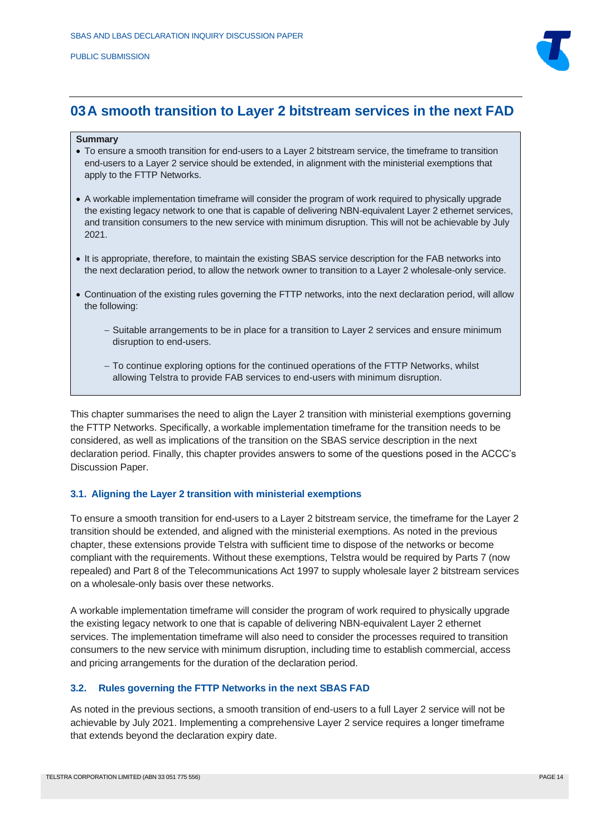

## <span id="page-13-0"></span>**03A smooth transition to Layer 2 bitstream services in the next FAD**

#### **Summary**

- To ensure a smooth transition for end-users to a Layer 2 bitstream service, the timeframe to transition end-users to a Layer 2 service should be extended, in alignment with the ministerial exemptions that apply to the FTTP Networks.
- A workable implementation timeframe will consider the program of work required to physically upgrade the existing legacy network to one that is capable of delivering NBN-equivalent Layer 2 ethernet services, and transition consumers to the new service with minimum disruption. This will not be achievable by July 2021.
- It is appropriate, therefore, to maintain the existing SBAS service description for the FAB networks into the next declaration period, to allow the network owner to transition to a Layer 2 wholesale-only service.
- Continuation of the existing rules governing the FTTP networks, into the next declaration period, will allow the following:
	- − Suitable arrangements to be in place for a transition to Layer 2 services and ensure minimum disruption to end-users.
	- − To continue exploring options for the continued operations of the FTTP Networks, whilst allowing Telstra to provide FAB services to end-users with minimum disruption.

This chapter summarises the need to align the Layer 2 transition with ministerial exemptions governing the FTTP Networks. Specifically, a workable implementation timeframe for the transition needs to be considered, as well as implications of the transition on the SBAS service description in the next declaration period. Finally, this chapter provides answers to some of the questions posed in the ACCC's Discussion Paper.

#### <span id="page-13-1"></span>**3.1. Aligning the Layer 2 transition with ministerial exemptions**

To ensure a smooth transition for end-users to a Layer 2 bitstream service, the timeframe for the Layer 2 transition should be extended, and aligned with the ministerial exemptions. As noted in the previous chapter, these extensions provide Telstra with sufficient time to dispose of the networks or become compliant with the requirements. Without these exemptions, Telstra would be required by Parts 7 (now repealed) and Part 8 of the Telecommunications Act 1997 to supply wholesale layer 2 bitstream services on a wholesale-only basis over these networks.

A workable implementation timeframe will consider the program of work required to physically upgrade the existing legacy network to one that is capable of delivering NBN-equivalent Layer 2 ethernet services. The implementation timeframe will also need to consider the processes required to transition consumers to the new service with minimum disruption, including time to establish commercial, access and pricing arrangements for the duration of the declaration period.

#### <span id="page-13-2"></span>**3.2. Rules governing the FTTP Networks in the next SBAS FAD**

As noted in the previous sections, a smooth transition of end-users to a full Layer 2 service will not be achievable by July 2021. Implementing a comprehensive Layer 2 service requires a longer timeframe that extends beyond the declaration expiry date.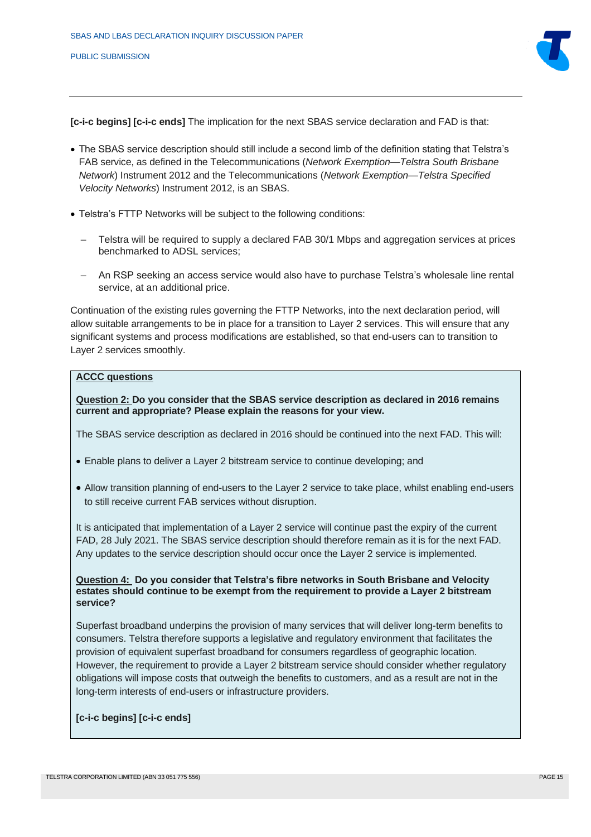

**[c-i-c begins] [c-i-c ends]** The implication for the next SBAS service declaration and FAD is that:

- The SBAS service description should still include a second limb of the definition stating that Telstra's FAB service, as defined in the Telecommunications (*Network Exemption—Telstra South Brisbane Network*) Instrument 2012 and the Telecommunications (*Network Exemption—Telstra Specified Velocity Networks*) Instrument 2012, is an SBAS.
- Telstra's FTTP Networks will be subject to the following conditions:
	- Telstra will be required to supply a declared FAB 30/1 Mbps and aggregation services at prices benchmarked to ADSL services;
	- An RSP seeking an access service would also have to purchase Telstra's wholesale line rental service, at an additional price.

Continuation of the existing rules governing the FTTP Networks, into the next declaration period, will allow suitable arrangements to be in place for a transition to Layer 2 services. This will ensure that any significant systems and process modifications are established, so that end-users can to transition to Layer 2 services smoothly.

### **ACCC questions**

**Question 2: Do you consider that the SBAS service description as declared in 2016 remains current and appropriate? Please explain the reasons for your view.**

The SBAS service description as declared in 2016 should be continued into the next FAD. This will:

- Enable plans to deliver a Layer 2 bitstream service to continue developing; and
- Allow transition planning of end-users to the Layer 2 service to take place, whilst enabling end-users to still receive current FAB services without disruption.

It is anticipated that implementation of a Layer 2 service will continue past the expiry of the current FAD, 28 July 2021. The SBAS service description should therefore remain as it is for the next FAD. Any updates to the service description should occur once the Layer 2 service is implemented.

#### **Question 4: Do you consider that Telstra's fibre networks in South Brisbane and Velocity estates should continue to be exempt from the requirement to provide a Layer 2 bitstream service?**

Superfast broadband underpins the provision of many services that will deliver long-term benefits to consumers. Telstra therefore supports a legislative and regulatory environment that facilitates the provision of equivalent superfast broadband for consumers regardless of geographic location. However, the requirement to provide a Layer 2 bitstream service should consider whether regulatory obligations will impose costs that outweigh the benefits to customers, and as a result are not in the long-term interests of end-users or infrastructure providers.

#### **[c-i-c begins] [c-i-c ends]**